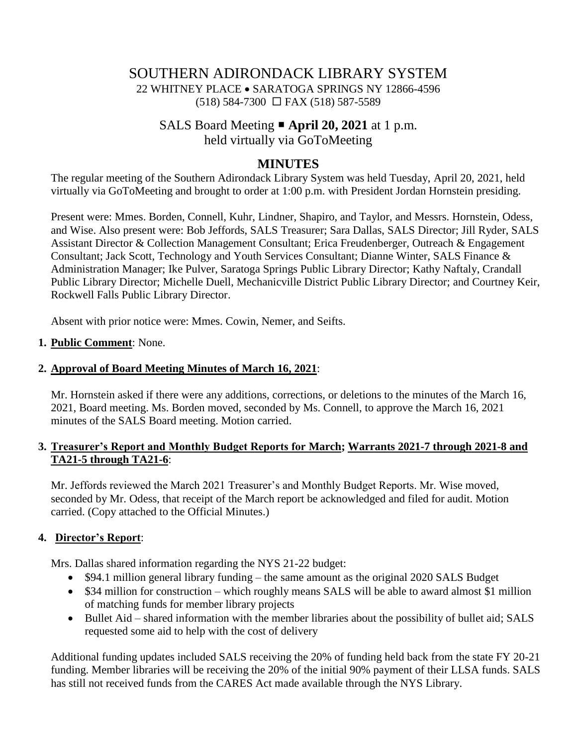# SOUTHERN ADIRONDACK LIBRARY SYSTEM 22 WHITNEY PLACE • SARATOGA SPRINGS NY 12866-4596 (518) 584-7300 FAX (518) 587-5589

# SALS Board Meeting **April 20, 2021** at 1 p.m.

held virtually via GoToMeeting

# **MINUTES**

The regular meeting of the Southern Adirondack Library System was held Tuesday, April 20, 2021, held virtually via GoToMeeting and brought to order at 1:00 p.m. with President Jordan Hornstein presiding.

Present were: Mmes. Borden, Connell, Kuhr, Lindner, Shapiro, and Taylor, and Messrs. Hornstein, Odess, and Wise. Also present were: Bob Jeffords, SALS Treasurer; Sara Dallas, SALS Director; Jill Ryder, SALS Assistant Director & Collection Management Consultant; Erica Freudenberger, Outreach & Engagement Consultant; Jack Scott, Technology and Youth Services Consultant; Dianne Winter, SALS Finance & Administration Manager; Ike Pulver, Saratoga Springs Public Library Director; Kathy Naftaly, Crandall Public Library Director; Michelle Duell, Mechanicville District Public Library Director; and Courtney Keir, Rockwell Falls Public Library Director.

Absent with prior notice were: Mmes. Cowin, Nemer, and Seifts.

# **1. Public Comment**: None.

# **2. Approval of Board Meeting Minutes of March 16, 2021**:

Mr. Hornstein asked if there were any additions, corrections, or deletions to the minutes of the March 16, 2021, Board meeting. Ms. Borden moved, seconded by Ms. Connell, to approve the March 16, 2021 minutes of the SALS Board meeting. Motion carried.

## **3. Treasurer's Report and Monthly Budget Reports for March; Warrants 2021-7 through 2021-8 and TA21-5 through TA21-6**:

Mr. Jeffords reviewed the March 2021 Treasurer's and Monthly Budget Reports. Mr. Wise moved, seconded by Mr. Odess, that receipt of the March report be acknowledged and filed for audit. Motion carried. (Copy attached to the Official Minutes.)

# **4. Director's Report**:

Mrs. Dallas shared information regarding the NYS 21-22 budget:

- \$94.1 million general library funding the same amount as the original 2020 SALS Budget
- \$34 million for construction which roughly means SALS will be able to award almost \$1 million of matching funds for member library projects
- Bullet Aid shared information with the member libraries about the possibility of bullet aid; SALS requested some aid to help with the cost of delivery

Additional funding updates included SALS receiving the 20% of funding held back from the state FY 20-21 funding. Member libraries will be receiving the 20% of the initial 90% payment of their LLSA funds. SALS has still not received funds from the CARES Act made available through the NYS Library.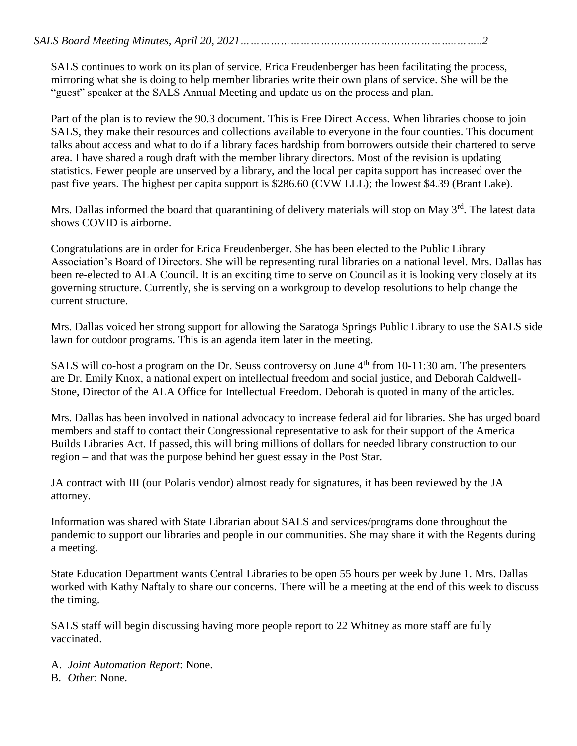SALS continues to work on its plan of service. Erica Freudenberger has been facilitating the process, mirroring what she is doing to help member libraries write their own plans of service. She will be the "guest" speaker at the SALS Annual Meeting and update us on the process and plan.

Part of the plan is to review the 90.3 document. This is Free Direct Access. When libraries choose to join SALS, they make their resources and collections available to everyone in the four counties. This document talks about access and what to do if a library faces hardship from borrowers outside their chartered to serve area. I have shared a rough draft with the member library directors. Most of the revision is updating statistics. Fewer people are unserved by a library, and the local per capita support has increased over the past five years. The highest per capita support is \$286.60 (CVW LLL); the lowest \$4.39 (Brant Lake).

Mrs. Dallas informed the board that quarantining of delivery materials will stop on May 3<sup>rd</sup>. The latest data shows COVID is airborne.

Congratulations are in order for Erica Freudenberger. She has been elected to the Public Library Association's Board of Directors. She will be representing rural libraries on a national level. Mrs. Dallas has been re-elected to ALA Council. It is an exciting time to serve on Council as it is looking very closely at its governing structure. Currently, she is serving on a workgroup to develop resolutions to help change the current structure.

Mrs. Dallas voiced her strong support for allowing the Saratoga Springs Public Library to use the SALS side lawn for outdoor programs. This is an agenda item later in the meeting.

SALS will co-host a program on the Dr. Seuss controversy on June 4<sup>th</sup> from 10-11:30 am. The presenters are Dr. Emily Knox, a national expert on intellectual freedom and social justice, and Deborah Caldwell-Stone, Director of the ALA Office for Intellectual Freedom. Deborah is quoted in many of the articles.

Mrs. Dallas has been involved in national advocacy to increase federal aid for libraries. She has urged board members and staff to contact their Congressional representative to ask for their support of the America Builds Libraries Act. If passed, this will bring millions of dollars for needed library construction to our region – and that was the purpose behind her guest essay in the Post Star.

JA contract with III (our Polaris vendor) almost ready for signatures, it has been reviewed by the JA attorney.

Information was shared with State Librarian about SALS and services/programs done throughout the pandemic to support our libraries and people in our communities. She may share it with the Regents during a meeting.

State Education Department wants Central Libraries to be open 55 hours per week by June 1. Mrs. Dallas worked with Kathy Naftaly to share our concerns. There will be a meeting at the end of this week to discuss the timing.

SALS staff will begin discussing having more people report to 22 Whitney as more staff are fully vaccinated.

- A. *Joint Automation Report*: None.
- B. *Other*: None.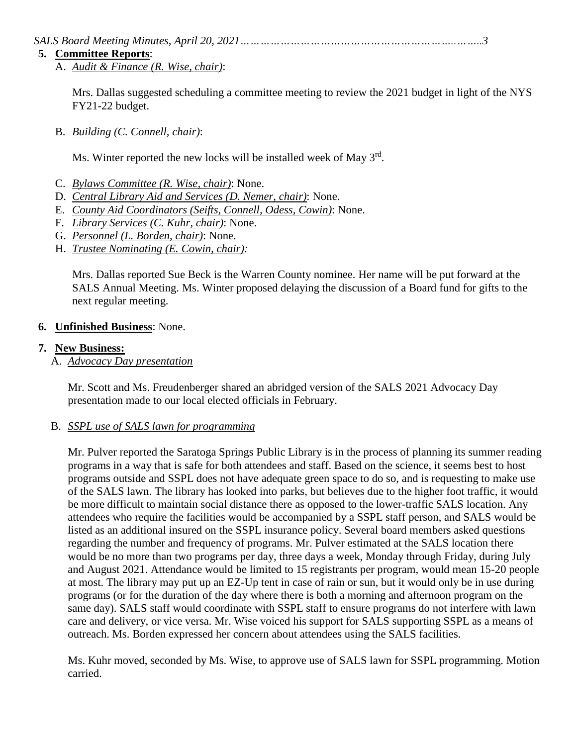*SALS Board Meeting Minutes, April 20, 2021………………………………………………………..……..3*

#### **5. Committee Reports**:

A. *Audit & Finance (R. Wise, chair)*:

Mrs. Dallas suggested scheduling a committee meeting to review the 2021 budget in light of the NYS FY21-22 budget.

B. *Building (C. Connell, chair)*:

Ms. Winter reported the new locks will be installed week of May 3<sup>rd</sup>.

- C. *Bylaws Committee (R. Wise, chair)*: None.
- D. *Central Library Aid and Services (D. Nemer, chair)*: None.
- E. *County Aid Coordinators (Seifts, Connell, Odess, Cowin)*: None.
- F. *Library Services (C. Kuhr, chair)*: None.
- G. *Personnel (L. Borden, chair)*: None.
- H. *Trustee Nominating (E. Cowin, chair):*

Mrs. Dallas reported Sue Beck is the Warren County nominee. Her name will be put forward at the SALS Annual Meeting. Ms. Winter proposed delaying the discussion of a Board fund for gifts to the next regular meeting.

# **6. Unfinished Business**: None.

## **7. New Business:**

A. *Advocacy Day presentation*

Mr. Scott and Ms. Freudenberger shared an abridged version of the SALS 2021 Advocacy Day presentation made to our local elected officials in February.

## B. *SSPL use of SALS lawn for programming*

Mr. Pulver reported the Saratoga Springs Public Library is in the process of planning its summer reading programs in a way that is safe for both attendees and staff. Based on the science, it seems best to host programs outside and SSPL does not have adequate green space to do so, and is requesting to make use of the SALS lawn. The library has looked into parks, but believes due to the higher foot traffic, it would be more difficult to maintain social distance there as opposed to the lower-traffic SALS location. Any attendees who require the facilities would be accompanied by a SSPL staff person, and SALS would be listed as an additional insured on the SSPL insurance policy. Several board members asked questions regarding the number and frequency of programs. Mr. Pulver estimated at the SALS location there would be no more than two programs per day, three days a week, Monday through Friday, during July and August 2021. Attendance would be limited to 15 registrants per program, would mean 15-20 people at most. The library may put up an EZ-Up tent in case of rain or sun, but it would only be in use during programs (or for the duration of the day where there is both a morning and afternoon program on the same day). SALS staff would coordinate with SSPL staff to ensure programs do not interfere with lawn care and delivery, or vice versa. Mr. Wise voiced his support for SALS supporting SSPL as a means of outreach. Ms. Borden expressed her concern about attendees using the SALS facilities.

Ms. Kuhr moved, seconded by Ms. Wise, to approve use of SALS lawn for SSPL programming. Motion carried.